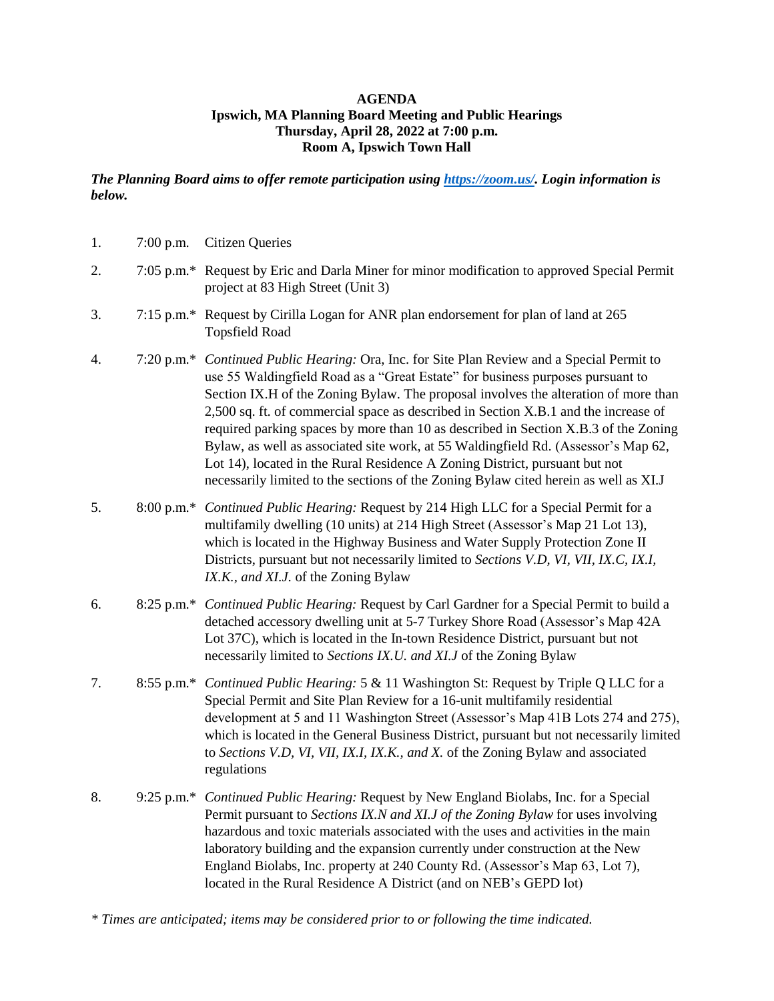## **AGENDA Ipswich, MA Planning Board Meeting and Public Hearings Thursday, April 28, 2022 at 7:00 p.m. Room A, Ipswich Town Hall**

*The Planning Board aims to offer remote participation using [https://zoom.us/.](https://zoom.us/) Login information is below.*

| 1. | 7:00 p.m.             | <b>Citizen Queries</b>                                                                                                                                                                                                                                                                                                                                                                                                                                                                                                                                                                                                                                                                               |
|----|-----------------------|------------------------------------------------------------------------------------------------------------------------------------------------------------------------------------------------------------------------------------------------------------------------------------------------------------------------------------------------------------------------------------------------------------------------------------------------------------------------------------------------------------------------------------------------------------------------------------------------------------------------------------------------------------------------------------------------------|
| 2. |                       | 7:05 p.m.* Request by Eric and Darla Miner for minor modification to approved Special Permit<br>project at 83 High Street (Unit 3)                                                                                                                                                                                                                                                                                                                                                                                                                                                                                                                                                                   |
| 3. |                       | 7:15 p.m.* Request by Cirilla Logan for ANR plan endorsement for plan of land at 265<br><b>Topsfield Road</b>                                                                                                                                                                                                                                                                                                                                                                                                                                                                                                                                                                                        |
| 4. | $7:20 \text{ p.m.}^*$ | Continued Public Hearing: Ora, Inc. for Site Plan Review and a Special Permit to<br>use 55 Waldingfield Road as a "Great Estate" for business purposes pursuant to<br>Section IX.H of the Zoning Bylaw. The proposal involves the alteration of more than<br>2,500 sq. ft. of commercial space as described in Section X.B.1 and the increase of<br>required parking spaces by more than 10 as described in Section X.B.3 of the Zoning<br>Bylaw, as well as associated site work, at 55 Waldingfield Rd. (Assessor's Map 62,<br>Lot 14), located in the Rural Residence A Zoning District, pursuant but not<br>necessarily limited to the sections of the Zoning Bylaw cited herein as well as XI.J |
| 5. |                       | 8:00 p.m.* Continued Public Hearing: Request by 214 High LLC for a Special Permit for a<br>multifamily dwelling (10 units) at 214 High Street (Assessor's Map 21 Lot 13),<br>which is located in the Highway Business and Water Supply Protection Zone II<br>Districts, pursuant but not necessarily limited to Sections V.D, VI, VII, IX.C, IX.I,<br>IX.K., and XI.J. of the Zoning Bylaw                                                                                                                                                                                                                                                                                                           |
| 6. |                       | 8:25 p.m.* Continued Public Hearing: Request by Carl Gardner for a Special Permit to build a<br>detached accessory dwelling unit at 5-7 Turkey Shore Road (Assessor's Map 42A<br>Lot 37C), which is located in the In-town Residence District, pursuant but not<br>necessarily limited to Sections IX.U. and XI.J of the Zoning Bylaw                                                                                                                                                                                                                                                                                                                                                                |
| 7. |                       | 8:55 p.m.* Continued Public Hearing: 5 & 11 Washington St: Request by Triple Q LLC for a<br>Special Permit and Site Plan Review for a 16-unit multifamily residential<br>development at 5 and 11 Washington Street (Assessor's Map 41B Lots 274 and 275),<br>which is located in the General Business District, pursuant but not necessarily limited<br>to Sections V.D, VI, VII, IX.I, IX.K., and X. of the Zoning Bylaw and associated<br>regulations                                                                                                                                                                                                                                              |
| 8. |                       | 9:25 p.m.* Continued Public Hearing: Request by New England Biolabs, Inc. for a Special<br>Permit pursuant to Sections IX.N and XI.J of the Zoning Bylaw for uses involving<br>hazardous and toxic materials associated with the uses and activities in the main<br>laboratory building and the expansion currently under construction at the New<br>England Biolabs, Inc. property at 240 County Rd. (Assessor's Map 63, Lot 7),<br>located in the Rural Residence A District (and on NEB's GEPD lot)                                                                                                                                                                                               |

*<sup>\*</sup> Times are anticipated; items may be considered prior to or following the time indicated.*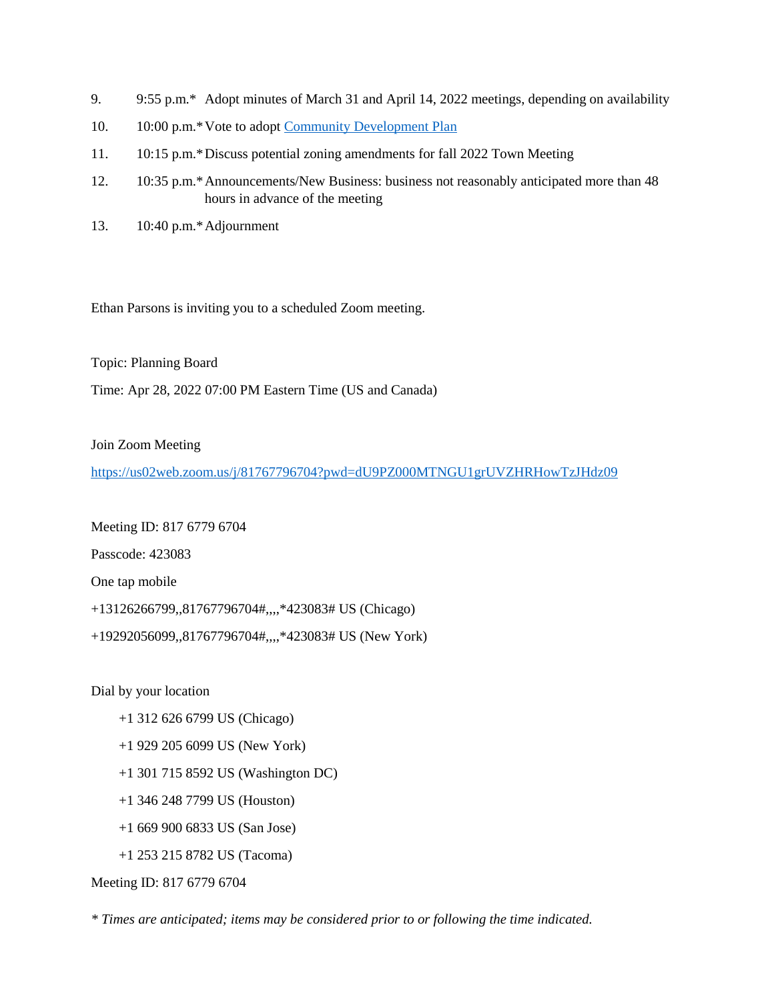- 9. 9:55 p.m.\* Adopt minutes of March 31 and April 14, 2022 meetings, depending on availability
- 10. 10:00 p.m.\*Vote to adopt [Community Development Plan](https://www.ipswichma.gov/326/Ipswich-Community-Development-Plan)
- 11. 10:15 p.m.\*Discuss potential zoning amendments for fall 2022 Town Meeting
- 12. 10:35 p.m.\*Announcements/New Business: business not reasonably anticipated more than 48 hours in advance of the meeting
- 13. 10:40 p.m.\*Adjournment

Ethan Parsons is inviting you to a scheduled Zoom meeting.

Topic: Planning Board

Time: Apr 28, 2022 07:00 PM Eastern Time (US and Canada)

Join Zoom Meeting

<https://us02web.zoom.us/j/81767796704?pwd=dU9PZ000MTNGU1grUVZHRHowTzJHdz09>

Meeting ID: 817 6779 6704

Passcode: 423083

One tap mobile

+13126266799,,81767796704#,,,,\*423083# US (Chicago)

+19292056099,,81767796704#,,,,\*423083# US (New York)

Dial by your location

- +1 312 626 6799 US (Chicago)
- +1 929 205 6099 US (New York)
- +1 301 715 8592 US (Washington DC)
- +1 346 248 7799 US (Houston)
- +1 669 900 6833 US (San Jose)
- +1 253 215 8782 US (Tacoma)

Meeting ID: 817 6779 6704

*\* Times are anticipated; items may be considered prior to or following the time indicated.*